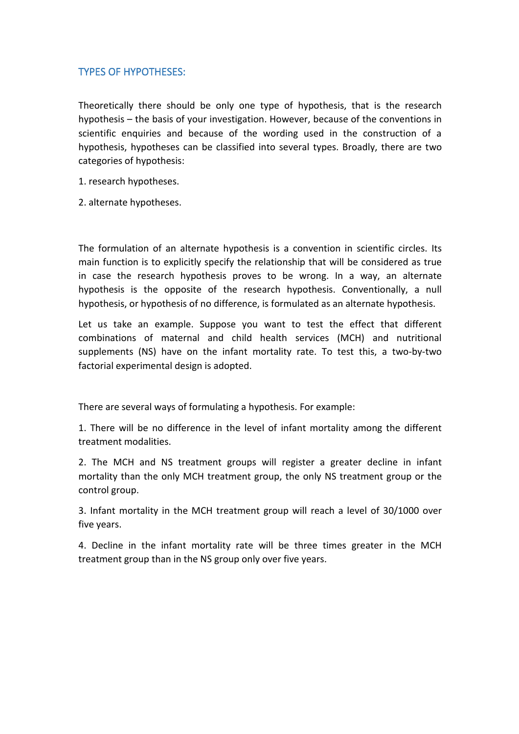## TYPES OF HYPOTHESES:

Theoretically there should be only one type of hypothesis, that is the research hypothesis – the basis of your investigation. However, because of the conventions in scientific enquiries and because of the wording used in the construction of a hypothesis, hypotheses can be classified into several types. Broadly, there are two categories of hypothesis:

1. research hypotheses.

2. alternate hypotheses.

The formulation of an alternate hypothesis is a convention in scientific circles. Its main function is to explicitly specify the relationship that will be considered as true in case the research hypothesis proves to be wrong. In a way, an alternate hypothesis is the opposite of the research hypothesis. Conventionally, a null hypothesis, or hypothesis of no difference, is formulated as an alternate hypothesis.

Let us take an example. Suppose you want to test the effect that different combinations of maternal and child health services (MCH) and nutritional supplements (NS) have on the infant mortality rate. To test this, a two-by-two factorial experimental design is adopted.

There are several ways of formulating a hypothesis. For example:

1. There will be no difference in the level of infant mortality among the different treatment modalities.

2. The MCH and NS treatment groups will register a greater decline in infant mortality than the only MCH treatment group, the only NS treatment group or the control group.

3. Infant mortality in the MCH treatment group will reach a level of 30/1000 over five years.

4. Decline in the infant mortality rate will be three times greater in the MCH treatment group than in the NS group only over five years.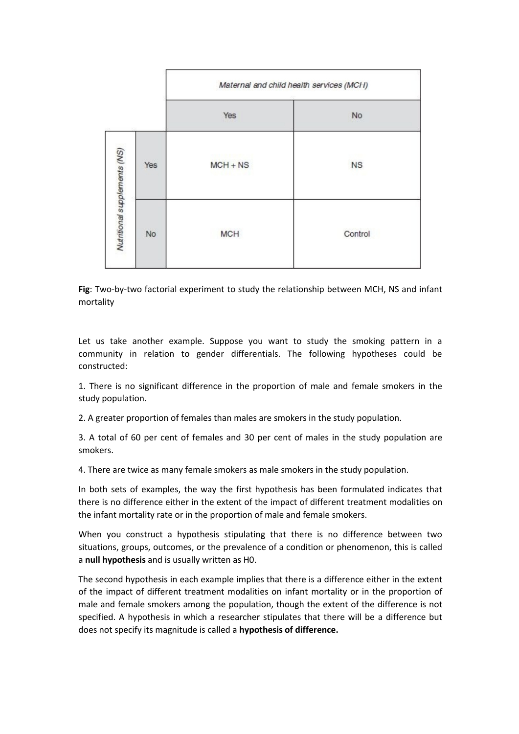|                              |           | Maternal and child health services (MCH) |           |
|------------------------------|-----------|------------------------------------------|-----------|
|                              |           | Yes                                      | No        |
| Nutritional supplements (NS) | Yes       | $MCH + NS$                               | <b>NS</b> |
|                              | <b>No</b> | <b>MCH</b>                               | Control   |

**Fig**: Two-by-two factorial experiment to study the relationship between MCH, NS and infant mortality

Let us take another example. Suppose you want to study the smoking pattern in a community in relation to gender differentials. The following hypotheses could be constructed:

1. There is no significant difference in the proportion of male and female smokers in the study population.

2. A greater proportion of females than males are smokers in the study population.

3. A total of 60 per cent of females and 30 per cent of males in the study population are smokers.

4. There are twice as many female smokers as male smokers in the study population.

In both sets of examples, the way the first hypothesis has been formulated indicates that there is no difference either in the extent of the impact of different treatment modalities on the infant mortality rate or in the proportion of male and female smokers.

When you construct a hypothesis stipulating that there is no difference between two situations, groups, outcomes, or the prevalence of a condition or phenomenon, this is called a **null hypothesis** and is usually written as H0.

The second hypothesis in each example implies that there is a difference either in the extent of the impact of different treatment modalities on infant mortality or in the proportion of male and female smokers among the population, though the extent of the difference is not specified. A hypothesis in which a researcher stipulates that there will be a difference but does not specify itsmagnitude is called a **hypothesis of difference.**